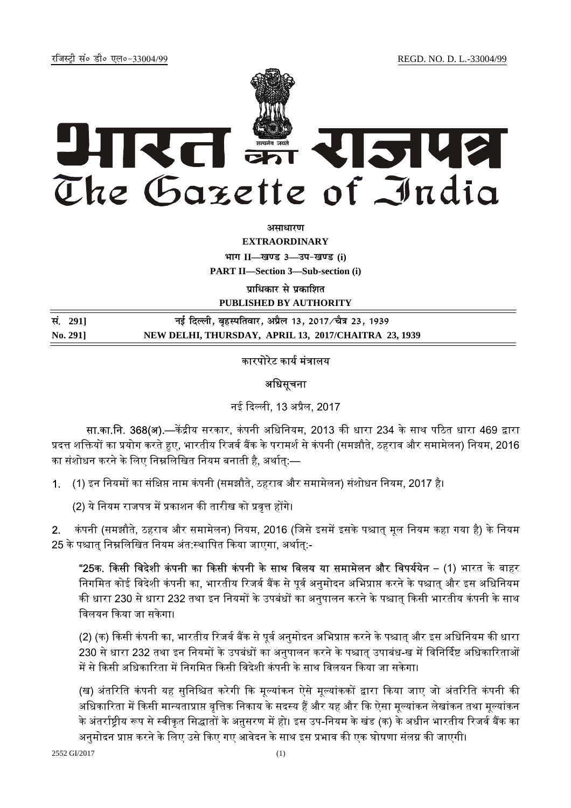रजिस्ट्री सं० डी० एल०-33004/99 *REGD.* NO. D. L.-33004/99



*<u>amairum</u>* 

**EXTRAORDINARY**

 $4$ **HI**<sup>T</sup> II—<br>**Edgs** 3—34-खण्ड (i)

**PART II—Section 3—Sub-section (i)** 

**पाधिकार से प्रकाशित** 

**PUBLISHED BY AUTHORITY**

| सं. 2911 | नई दिल्ली, बृहस्पतिवार, अप्रैल 13, 2017 ∕चैत्र 23, 1939 |
|----------|---------------------------------------------------------|
| No. 2911 | NEW DELHI, THURSDAY, APRIL 13, 2017/CHAITRA 23, 1939    |

### कारपोरेट कार्य मंत्रालय

### अधिसचना

नई ᳰद᭨ली, 13 अᮧैल, 2017

सा.का.नि. 368(अ).—केंद्रीय सरकार, कंपनी अधिनियम, 2013 की धारा 234 के साथ पठित धारा 469 द्वारा प्रदत्त शक्तियों का प्रयोग करते हुए, भारतीय रिजर्व बैंक के परामर्श से कंपनी (समझौते, ठहराव और समामेलन) नियम, 2016 का संशोधन करने के लिए निम्नलिखित नियम बनाती है. अर्थात:—

1. (1) इन नियमों का संक्षिप्त नाम कंपनी (समझौते, ठहराव और समामेलन) संशोधन नियम. 2017 है।

(2) ये नियम राजपत्र में प्रकाशन की तारीख को प्रवृत्त होंगे।

2. कंपनी (समझौते, ठहराव और समामेलन) नियम, 2016 (जिसे इसमें इसके पश्चात् मूल नियम कहा गया है) के नियम 25 के पश्चात निम्नलिखित नियम अंत:स्थापित किया जाएगा, अर्थात:-

"25क. किसी विदेशी कंपनी का किसी कंपनी के साथ विलय या समामेलन और विपर्ययेन – (1) भारत के बाहर निगमित कोई विदेशी कंपनी का, भारतीय रिजर्व बैंक से पर्व अनुमोदन अभिप्राप्त करने के पश्चात और इस अधिनियम की धारा 230 से धारा 232 तथा इन नियमों के उपबंधों का अनुपालन करने के पश्चात् किसी भारतीय कंपनी के साथ विलयन किया जा सकेगा।

(2) (क) किसी कंपनी का, भारतीय रिजर्व बैंक से पूर्व अनुमोदन अभिप्राप्त करने के पश्चात् और इस अधिनियम की धारा 230 से धारा 232 तथा इन नियमों के उपबंधों का अनुपालन करने के पश्चात् उपाबंध-ख में विनिर्दिष्ट अधिकारिताओं में से किसी अधिकारिता में निगमित किसी विदेशी कंपनी के साथ विलयन किया जा सकेगा।

(ख) अंतरिति कंपनी यह सुनिश्चित करेगी कि मूल्यांकन ऐसे मूल्यांककों द्वारा किया जाए जो अंतरिति कंपनी की अधिकारिता में किसी मान्यताप्राप्त वृत्तिक निकाय के सदस्य हैं और यह और कि ऐसा मूल्यांकन लेखांकन तथा मूल्यांकन के अंतर्राष्ट्रीय रूप से स्वीकृत सिद्धातों के अनुसरण में हो। इस उप-नियम के खंड (क) के अधीन भारतीय रिजर्व बैंक का अनुमोदन प्राप्त करने के लिए उसे किए गए आवेदन के साथ इस प्रभाव की एक घोषणा संलग्न की जाएगी।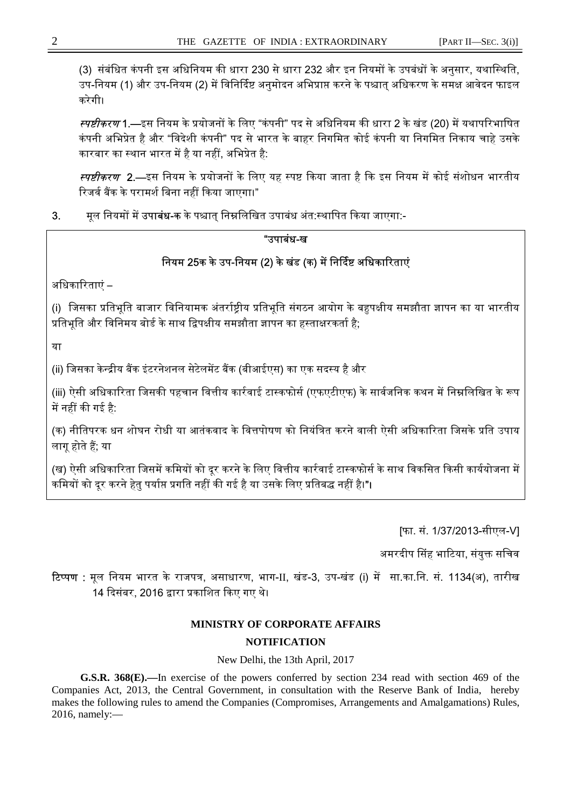(3) संबंधित कंपनी इस अधिनियम की धारा 230 से धारा 232 और इन नियमों के उपबंधों के अनुसार, यथास्थिति, उप-नियम (1) और उप-नियम (2) में विनिर्दिष्ट अनुमोदन अभिप्राप्त करने के पश्चात अधिकरण के समक्ष आवेदन फाइल करेगी।

*स्पष्टीकरण* 1.—इस नियम के प्रयोजनों के लिए "कंपनी" पद से अधिनियम की धारा 2 के खंड (20) में यथापरिभाषित कंपनी अभिप्रेत है और "विदेशी कंपनी" पद से भारत के बाहर निगमित कोई कंपनी या निगमित निकाय चाहे उसके कारबार का स्थान भारत में है या नहीं, अभिप्रेत है:

स्पष्टीकरण 2.—इस नियम के प्रयोजनों के लिए यह स्पष्ट किया जाता है कि इस नियम में कोई संशोधन भारतीय रिजर्व बैंक के परामर्श बिना नहीं किया जाएगा।"

3. मृल नियमों में **उपाबंध-क** के पश्चात् निम्नलिखित उपाबंध अंत:स्थापित किया जाएगा:-

## "उपाबंध-ख

# त्रियम 25क के उप-नियम (2) के खंड (क) में निर्दिष्ट अधिकारिताएं

अधिकारिताएं –

(i) जिसका प्रतिभूति बाजार विनियामक अंतर्राष्ट्रीय प्रतिभूति संगठन आयोग के बहुपक्षीय समझौता ज्ञापन का या भारतीय प्रतिभति और विनिमय बोर्ड के साथ द्विपक्षीय समझौता ज्ञापन का हस्ताक्षरकर्ता है:

या

(ii) जिसका केन्द्रीय बैंक इंटरनेशनल सेटेलमेंट बैंक (बीआईएस) का एक सदस्य है और

(iii) ऐसी अधिकारिता जिसकी पहचान वित्तीय कार्रवाई टास्कफोर्स (एफएटीएफ) के सार्वजनिक कथन में निम्नलिखित के रूप में नहीं की गई है:

(क) नीतिपरक धन शोघन रोधी या आतंकवाद के वित्तपोषण को नियंत्रित करने वाली ऐसी अधिकारिता जिसके प्रति उपाय लागू होते हैं; या

(ख) ऐसी अधिकारिता जिसमें कमियों को दर करने के लिए वित्तीय कार्रवाई टास्कफोर्स के साथ विकसित किसी कार्ययोजना में कमियों को दूर करने हेतु पर्याप्त प्रगति नहीं की गई है या उसके लिए प्रतिबद्ध नहीं है।"।

[फा. सं. 1/37/2013-सीएल-V]

अमरदीप सिंह भाटिया, संयुक्त सचिव

टिप्पण : मल नियम भारत के राजपत्र, असाधारण, भाग-II, खंड-3, उप-खंड (i) में सा.का.नि. सं. 1134(अ), तारीख 14 दिसंबर, 2016 द्वारा प्रकाशित किए गए थे।

## **MINISTRY OF CORPORATE AFFAIRS**

## **NOTIFICATION**

New Delhi, the 13th April, 2017

 **G.S.R. 368(E).—**In exercise of the powers conferred by section 234 read with section 469 of the Companies Act, 2013, the Central Government, in consultation with the Reserve Bank of India, hereby makes the following rules to amend the Companies (Compromises, Arrangements and Amalgamations) Rules, 2016, namely:—